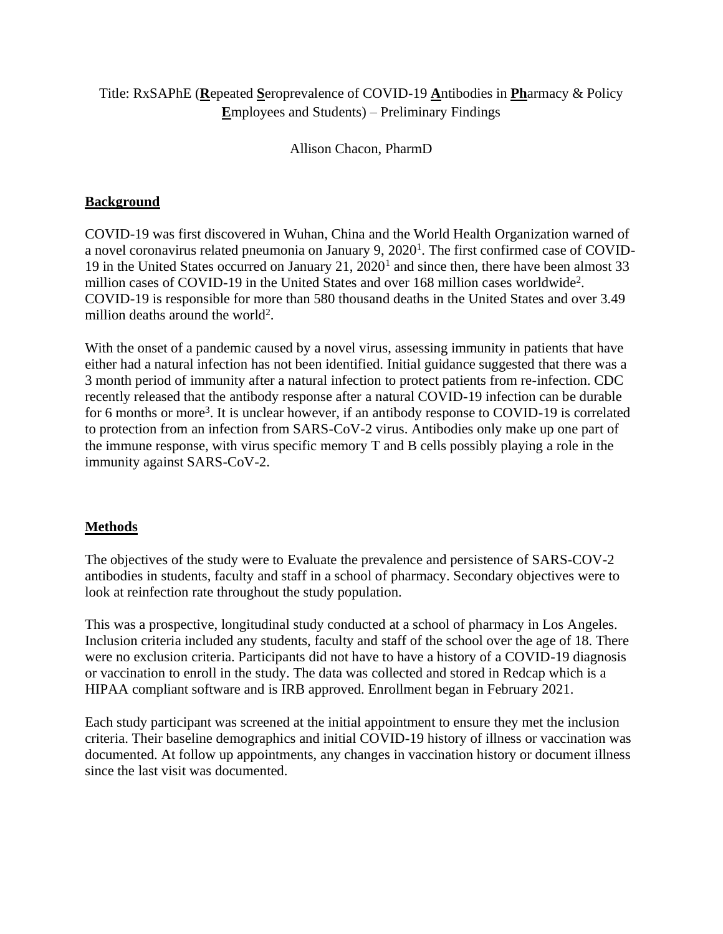# Title: RxSAPhE (**R**epeated **S**eroprevalence of COVID-19 **A**ntibodies in **Ph**armacy & Policy **E**mployees and Students) – Preliminary Findings

Allison Chacon, PharmD

# **Background**

COVID-19 was first discovered in Wuhan, China and the World Health Organization warned of a novel coronavirus related pneumonia on January 9, 2020<sup>1</sup>. The first confirmed case of COVID-19 in the United States occurred on January 21, 2020<sup>1</sup> and since then, there have been almost 33 million cases of COVID-19 in the United States and over 168 million cases worldwide<sup>2</sup>. COVID-19 is responsible for more than 580 thousand deaths in the United States and over 3.49 million deaths around the world<sup>2</sup>.

With the onset of a pandemic caused by a novel virus, assessing immunity in patients that have either had a natural infection has not been identified. Initial guidance suggested that there was a 3 month period of immunity after a natural infection to protect patients from re-infection. CDC recently released that the antibody response after a natural COVID-19 infection can be durable for 6 months or more<sup>3</sup>. It is unclear however, if an antibody response to COVID-19 is correlated to protection from an infection from SARS-CoV-2 virus. Antibodies only make up one part of the immune response, with virus specific memory T and B cells possibly playing a role in the immunity against SARS-CoV-2.

## **Methods**

The objectives of the study were to Evaluate the prevalence and persistence of SARS-COV-2 antibodies in students, faculty and staff in a school of pharmacy. Secondary objectives were to look at reinfection rate throughout the study population.

This was a prospective, longitudinal study conducted at a school of pharmacy in Los Angeles. Inclusion criteria included any students, faculty and staff of the school over the age of 18. There were no exclusion criteria. Participants did not have to have a history of a COVID-19 diagnosis or vaccination to enroll in the study. The data was collected and stored in Redcap which is a HIPAA compliant software and is IRB approved. Enrollment began in February 2021.

Each study participant was screened at the initial appointment to ensure they met the inclusion criteria. Their baseline demographics and initial COVID-19 history of illness or vaccination was documented. At follow up appointments, any changes in vaccination history or document illness since the last visit was documented.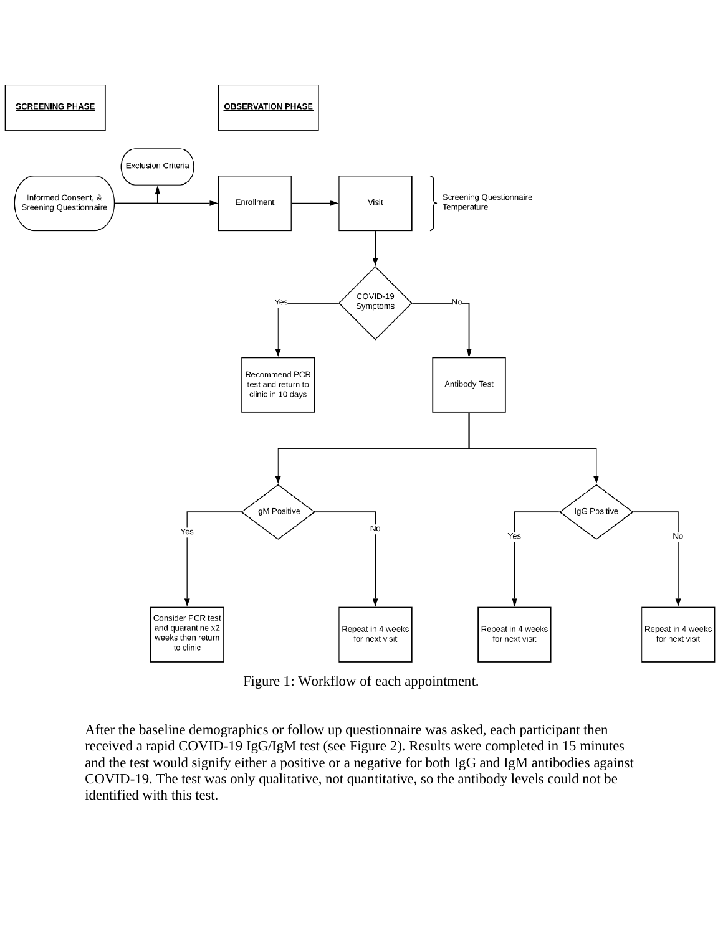

Figure 1: Workflow of each appointment.

After the baseline demographics or follow up questionnaire was asked, each participant then received a rapid COVID-19 IgG/IgM test (see Figure 2). Results were completed in 15 minutes and the test would signify either a positive or a negative for both IgG and IgM antibodies against COVID-19. The test was only qualitative, not quantitative, so the antibody levels could not be identified with this test.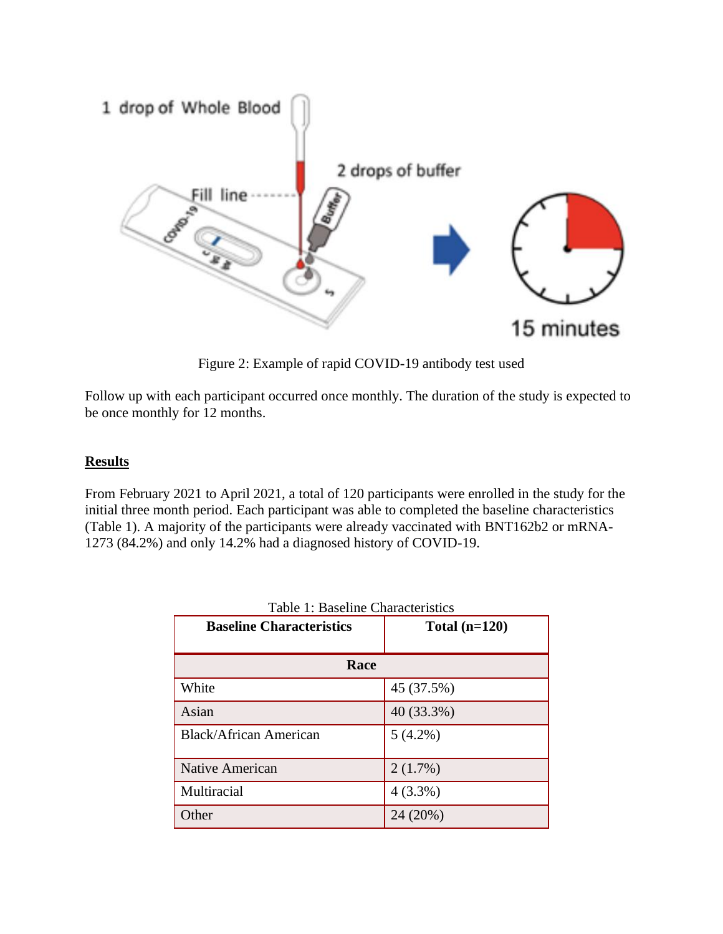

Figure 2: Example of rapid COVID-19 antibody test used

Follow up with each participant occurred once monthly. The duration of the study is expected to be once monthly for 12 months.

#### **Results**

From February 2021 to April 2021, a total of 120 participants were enrolled in the study for the initial three month period. Each participant was able to completed the baseline characteristics (Table 1). A majority of the participants were already vaccinated with BNT162b2 or mRNA-1273 (84.2%) and only 14.2% had a diagnosed history of COVID-19.

| <b>Baseline Characteristics</b> | Total $(n=120)$ |  |  |  |
|---------------------------------|-----------------|--|--|--|
| Race                            |                 |  |  |  |
| White                           | 45 (37.5%)      |  |  |  |
| Asian                           | 40 (33.3%)      |  |  |  |
| <b>Black/African American</b>   | $5(4.2\%)$      |  |  |  |
| Native American                 | 2(1.7%)         |  |  |  |
| Multiracial                     | $4(3.3\%)$      |  |  |  |
| Other                           | 24 (20%)        |  |  |  |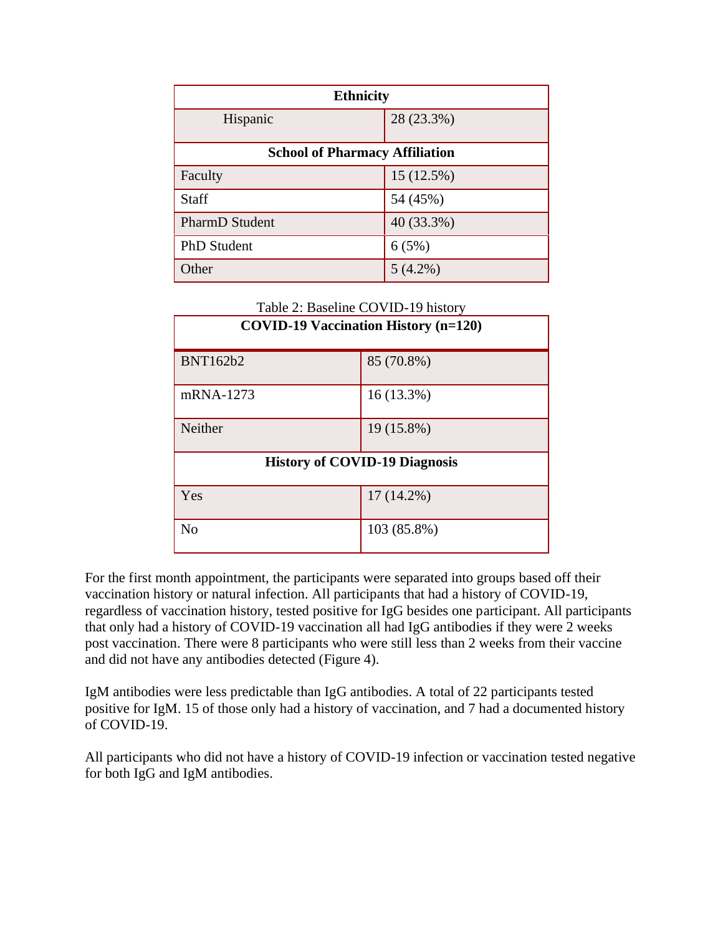| <b>Ethnicity</b>                      |            |  |  |  |
|---------------------------------------|------------|--|--|--|
| Hispanic                              | 28 (23.3%) |  |  |  |
| <b>School of Pharmacy Affiliation</b> |            |  |  |  |
| Faculty                               | 15 (12.5%) |  |  |  |
| <b>Staff</b>                          | 54 (45%)   |  |  |  |
| <b>PharmD</b> Student                 | 40 (33.3%) |  |  |  |
| <b>PhD</b> Student                    | 6(5%)      |  |  |  |
| Other                                 | $5(4.2\%)$ |  |  |  |

| Table 2: Baseline COVID-19 history |  |  |      |  |                                           |  |
|------------------------------------|--|--|------|--|-------------------------------------------|--|
| 10 <b>1110 101</b>                 |  |  | ---- |  | $\rightarrow$ $\rightarrow$ $\rightarrow$ |  |

| <b>COVID-19 Vaccination History (n=120)</b> |              |  |  |
|---------------------------------------------|--------------|--|--|
| <b>BNT162b2</b>                             | 85 (70.8%)   |  |  |
| mRNA-1273                                   | $16(13.3\%)$ |  |  |
| Neither                                     | 19 (15.8%)   |  |  |
| <b>History of COVID-19 Diagnosis</b>        |              |  |  |
| Yes                                         | $17(14.2\%)$ |  |  |
| N <sub>0</sub>                              | 103 (85.8%)  |  |  |

For the first month appointment, the participants were separated into groups based off their vaccination history or natural infection. All participants that had a history of COVID-19, regardless of vaccination history, tested positive for IgG besides one participant. All participants that only had a history of COVID-19 vaccination all had IgG antibodies if they were 2 weeks post vaccination. There were 8 participants who were still less than 2 weeks from their vaccine and did not have any antibodies detected (Figure 4).

IgM antibodies were less predictable than IgG antibodies. A total of 22 participants tested positive for IgM. 15 of those only had a history of vaccination, and 7 had a documented history of COVID-19.

All participants who did not have a history of COVID-19 infection or vaccination tested negative for both IgG and IgM antibodies.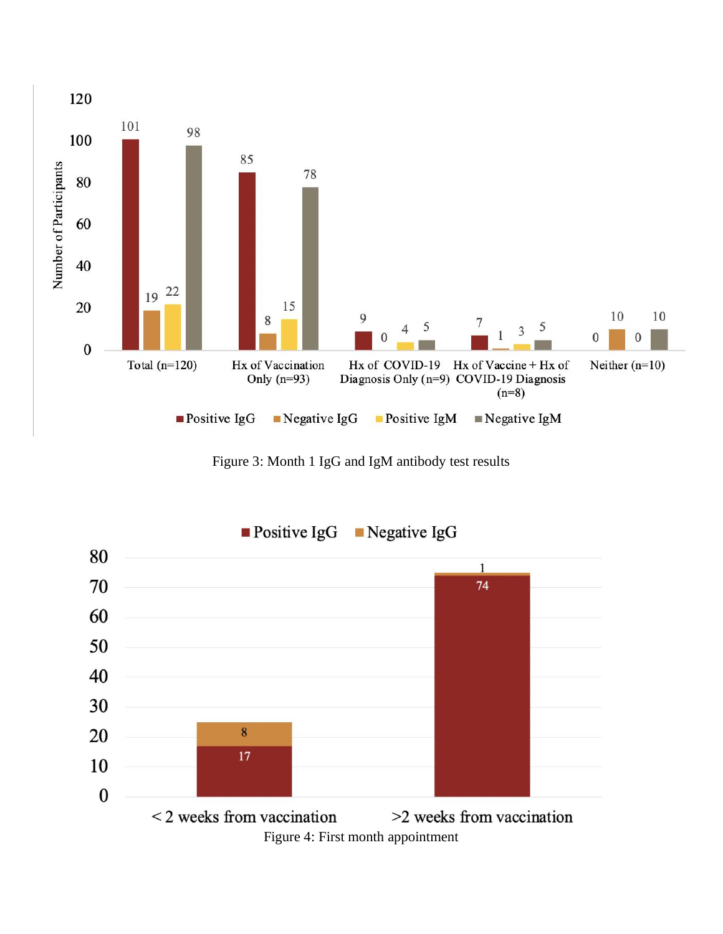

Figure 3: Month 1 IgG and IgM antibody test results

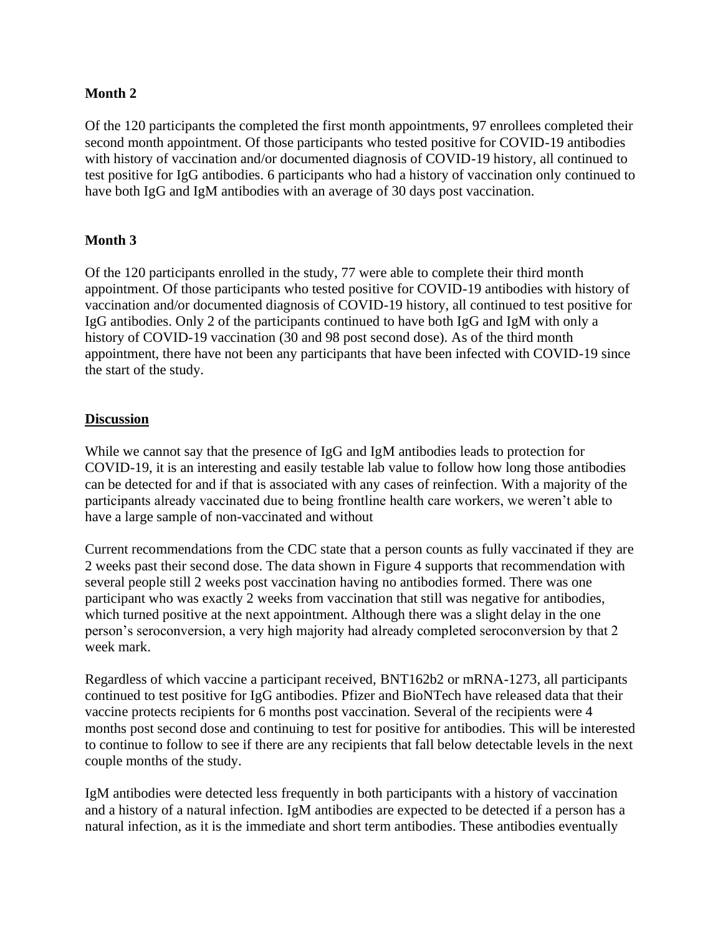### **Month 2**

Of the 120 participants the completed the first month appointments, 97 enrollees completed their second month appointment. Of those participants who tested positive for COVID-19 antibodies with history of vaccination and/or documented diagnosis of COVID-19 history, all continued to test positive for IgG antibodies. 6 participants who had a history of vaccination only continued to have both IgG and IgM antibodies with an average of 30 days post vaccination.

## **Month 3**

Of the 120 participants enrolled in the study, 77 were able to complete their third month appointment. Of those participants who tested positive for COVID-19 antibodies with history of vaccination and/or documented diagnosis of COVID-19 history, all continued to test positive for IgG antibodies. Only 2 of the participants continued to have both IgG and IgM with only a history of COVID-19 vaccination (30 and 98 post second dose). As of the third month appointment, there have not been any participants that have been infected with COVID-19 since the start of the study.

#### **Discussion**

While we cannot say that the presence of IgG and IgM antibodies leads to protection for COVID-19, it is an interesting and easily testable lab value to follow how long those antibodies can be detected for and if that is associated with any cases of reinfection. With a majority of the participants already vaccinated due to being frontline health care workers, we weren't able to have a large sample of non-vaccinated and without

Current recommendations from the CDC state that a person counts as fully vaccinated if they are 2 weeks past their second dose. The data shown in Figure 4 supports that recommendation with several people still 2 weeks post vaccination having no antibodies formed. There was one participant who was exactly 2 weeks from vaccination that still was negative for antibodies, which turned positive at the next appointment. Although there was a slight delay in the one person's seroconversion, a very high majority had already completed seroconversion by that 2 week mark.

Regardless of which vaccine a participant received, BNT162b2 or mRNA-1273, all participants continued to test positive for IgG antibodies. Pfizer and BioNTech have released data that their vaccine protects recipients for 6 months post vaccination. Several of the recipients were 4 months post second dose and continuing to test for positive for antibodies. This will be interested to continue to follow to see if there are any recipients that fall below detectable levels in the next couple months of the study.

IgM antibodies were detected less frequently in both participants with a history of vaccination and a history of a natural infection. IgM antibodies are expected to be detected if a person has a natural infection, as it is the immediate and short term antibodies. These antibodies eventually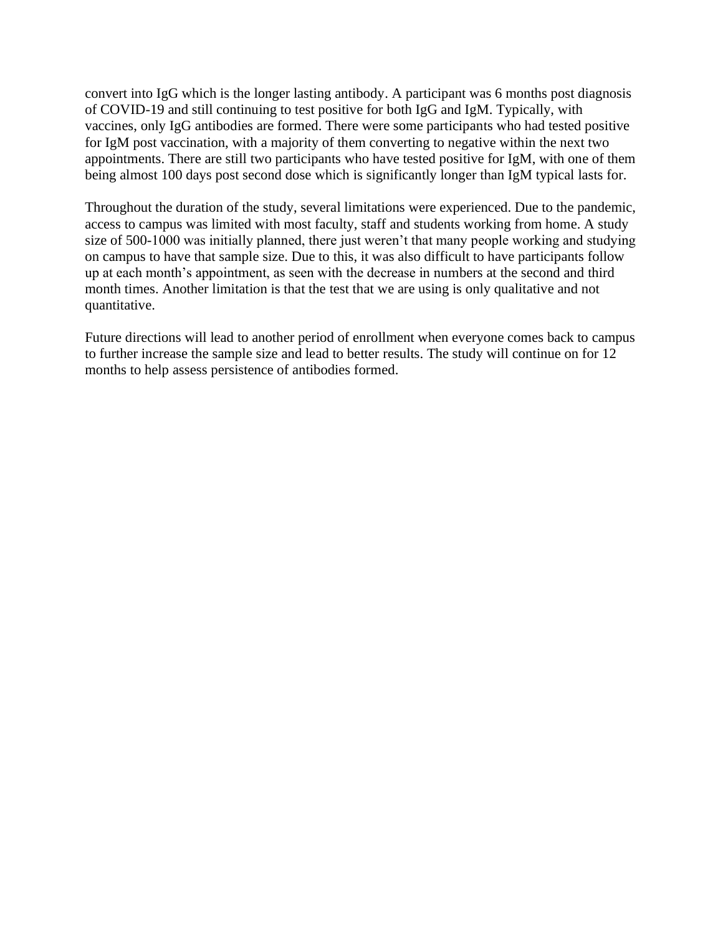convert into IgG which is the longer lasting antibody. A participant was 6 months post diagnosis of COVID-19 and still continuing to test positive for both IgG and IgM. Typically, with vaccines, only IgG antibodies are formed. There were some participants who had tested positive for IgM post vaccination, with a majority of them converting to negative within the next two appointments. There are still two participants who have tested positive for IgM, with one of them being almost 100 days post second dose which is significantly longer than IgM typical lasts for.

Throughout the duration of the study, several limitations were experienced. Due to the pandemic, access to campus was limited with most faculty, staff and students working from home. A study size of 500-1000 was initially planned, there just weren't that many people working and studying on campus to have that sample size. Due to this, it was also difficult to have participants follow up at each month's appointment, as seen with the decrease in numbers at the second and third month times. Another limitation is that the test that we are using is only qualitative and not quantitative.

Future directions will lead to another period of enrollment when everyone comes back to campus to further increase the sample size and lead to better results. The study will continue on for 12 months to help assess persistence of antibodies formed.